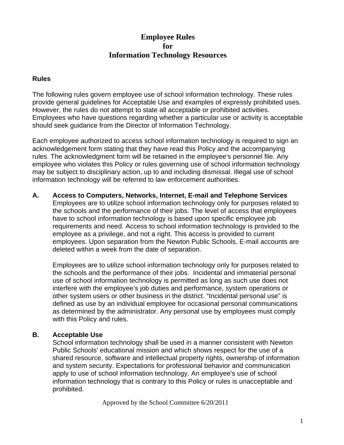# **Employee Rules for Information Technology Resources**

### **Rules**

The following rules govern employee use of school information technology. These rules provide general guidelines for Acceptable Use and examples of expressly prohibited uses. However, the rules do not attempt to state all acceptable or prohibited activities. Employees who have questions regarding whether a particular use or activity is acceptable should seek guidance from the Director of Information Technology.

Each employee authorized to access school information technology is required to sign an acknowledgement form stating that they have read this Policy and the accompanying rules. The acknowledgment form will be retained in the employee's personnel file. Any employee who violates this Policy or rules governing use of school information technology may be subject to disciplinary action, up to and including dismissal. Illegal use of school information technology will be referred to law enforcement authorities.

**A. Access to Computers, Networks, Internet, E-mail and Telephone Services**  Employees are to utilize school information technology only for purposes related to the schools and the performance of their jobs. The level of access that employees have to school information technology is based upon specific employee job requirements and need. Access to school information technology is provided to the employee as a privilege, and not a right. This access is provided to current employees. Upon separation from the Newton Public Schools, E-mail accounts are deleted within a week from the date of separation.

Employees are to utilize school information technology only for purposes related to the schools and the performance of their jobs. Incidental and immaterial personal use of school information technology is permitted as long as such use does not interfere with the employee's job duties and performance, system operations or other system users or other business in the district. "Incidental personal use" is defined as use by an individual employee for occasional personal communications as determined by the administrator. Any personal use by employees must comply with this Policy and rules.

## **B. Acceptable Use**

School information technology shall be used in a manner consistent with Newton Public Schools' educational mission and which shows respect for the use of a shared resource, software and intellectual property rights, ownership of information and system security. Expectations for professional behavior and communication apply to use of school information technology. An employee's use of school information technology that is contrary to this Policy or rules is unacceptable and prohibited.

Approved by the School Committee 6/20/2011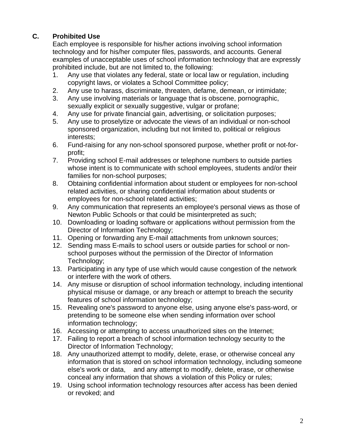# **C. Prohibited Use**

Each employee is responsible for his/her actions involving school information technology and for his/her computer files, passwords, and accounts. General examples of unacceptable uses of school information technology that are expressly prohibited include, but are not limited to, the following:

- 1. Any use that violates any federal, state or local law or regulation, including copyright laws, or violates a School Committee policy;
- 2. Any use to harass, discriminate, threaten, defame, demean, or intimidate;
- 3. Any use involving materials or language that is obscene, pornographic, sexually explicit or sexually suggestive, vulgar or profane;
- 4. Any use for private financial gain, advertising, or solicitation purposes;
- 5. Any use to proselytize or advocate the views of an individual or non-school sponsored organization, including but not limited to, political or religious interests;
- 6. Fund-raising for any non-school sponsored purpose, whether profit or not-forprofit;
- 7. Providing school E-mail addresses or telephone numbers to outside parties whose intent is to communicate with school employees, students and/or their families for non-school purposes;
- 8. Obtaining confidential information about student or employees for non-school related activities, or sharing confidential information about students or employees for non-school related activities;
- 9. Any communication that represents an employee's personal views as those of Newton Public Schools or that could be misinterpreted as such;
- 10. Downloading or loading software or applications without permission from the Director of Information Technology;
- 11. Opening or forwarding any E-mail attachments from unknown sources;
- 12. Sending mass E-mails to school users or outside parties for school or nonschool purposes without the permission of the Director of Information Technology;
- 13. Participating in any type of use which would cause congestion of the network or interfere with the work of others.
- 14. Any misuse or disruption of school information technology, including intentional physical misuse or damage, or any breach or attempt to breach the security features of school information technology;
- 15. Revealing one's password to anyone else, using anyone else's pass-word, or pretending to be someone else when sending information over school information technology;
- 16. Accessing or attempting to access unauthorized sites on the Internet;
- 17. Failing to report a breach of school information technology security to the Director of Information Technology;
- 18. Any unauthorized attempt to modify, delete, erase, or otherwise conceal any information that is stored on school information technology, including someone else's work or data, and any attempt to modify, delete, erase, or otherwise conceal any information that shows a violation of this Policy or rules;
- 19. Using school information technology resources after access has been denied or revoked; and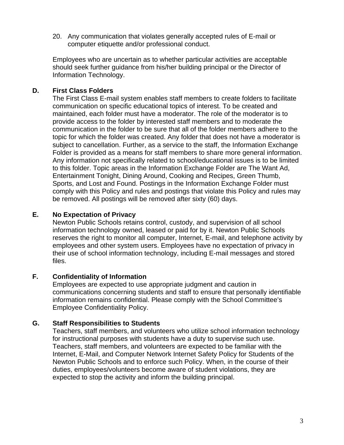20. Any communication that violates generally accepted rules of E-mail or computer etiquette and/or professional conduct.

Employees who are uncertain as to whether particular activities are acceptable should seek further guidance from his/her building principal or the Director of Information Technology.

## **D. First Class Folders**

The First Class E-mail system enables staff members to create folders to facilitate communication on specific educational topics of interest. To be created and maintained, each folder must have a moderator. The role of the moderator is to provide access to the folder by interested staff members and to moderate the communication in the folder to be sure that all of the folder members adhere to the topic for which the folder was created. Any folder that does not have a moderator is subject to cancellation. Further, as a service to the staff, the Information Exchange Folder is provided as a means for staff members to share more general information. Any information not specifically related to school/educational issues is to be limited to this folder. Topic areas in the Information Exchange Folder are The Want Ad, Entertainment Tonight, Dining Around, Cooking and Recipes, Green Thumb, Sports, and Lost and Found. Postings in the Information Exchange Folder must comply with this Policy and rules and postings that violate this Policy and rules may be removed. All postings will be removed after sixty (60) days.

## **E. No Expectation of Privacy**

Newton Public Schools retains control, custody, and supervision of all school information technology owned, leased or paid for by it. Newton Public Schools reserves the right to monitor all computer, Internet, E-mail, and telephone activity by employees and other system users. Employees have no expectation of privacy in their use of school information technology, including E-mail messages and stored files.

## **F. Confidentiality of Information**

Employees are expected to use appropriate judgment and caution in communications concerning students and staff to ensure that personally identifiable information remains confidential. Please comply with the School Committee's Employee Confidentiality Policy.

## **G. Staff Responsibilities to Students**

Teachers, staff members, and volunteers who utilize school information technology for instructional purposes with students have a duty to supervise such use. Teachers, staff members, and volunteers are expected to be familiar with the Internet, E-Mail, and Computer Network Internet Safety Policy for Students of the Newton Public Schools and to enforce such Policy. When, in the course of their duties, employees/volunteers become aware of student violations, they are expected to stop the activity and inform the building principal.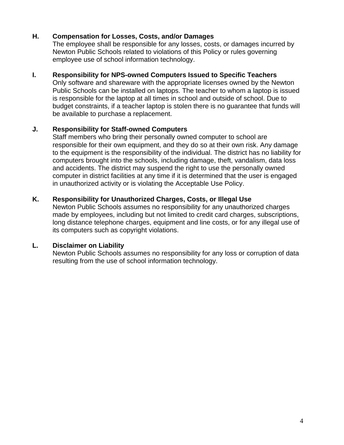### **H. Compensation for Losses, Costs, and/or Damages**

The employee shall be responsible for any losses, costs, or damages incurred by Newton Public Schools related to violations of this Policy or rules governing employee use of school information technology.

#### **I. Responsibility for NPS-owned Computers Issued to Specific Teachers**

Only software and shareware with the appropriate licenses owned by the Newton Public Schools can be installed on laptops. The teacher to whom a laptop is issued is responsible for the laptop at all times in school and outside of school. Due to budget constraints, if a teacher laptop is stolen there is no guarantee that funds will be available to purchase a replacement.

## **J. Responsibility for Staff-owned Computers**

Staff members who bring their personally owned computer to school are responsible for their own equipment, and they do so at their own risk. Any damage to the equipment is the responsibility of the individual. The district has no liability for computers brought into the schools, including damage, theft, vandalism, data loss and accidents. The district may suspend the right to use the personally owned computer in district facilities at any time if it is determined that the user is engaged in unauthorized activity or is violating the Acceptable Use Policy.

#### **K. Responsibility for Unauthorized Charges, Costs, or Illegal Use**

Newton Public Schools assumes no responsibility for any unauthorized charges made by employees, including but not limited to credit card charges, subscriptions, long distance telephone charges, equipment and line costs, or for any illegal use of its computers such as copyright violations.

## **L. Disclaimer on Liability**

Newton Public Schools assumes no responsibility for any loss or corruption of data resulting from the use of school information technology.